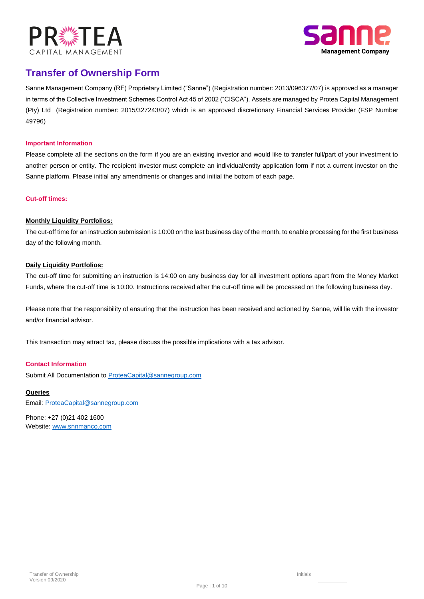



# **Transfer of Ownership Form**

49796) (Pty) Ltd (Registration number: 2015/327243/07) which is an approved discretionary Financial Services Provider (FSP Number in terms of the Collective Investment Schemes Control Act 45 of 2002 ("CISCA"). Assets are managed by Protea Capital Management Sanne Management Company (RF) Proprietary Limited ("Sanne") (Registration number: 2013/096377/07) is approved as a manager

## **Important Information**

Please complete all the sections on the form if you are an existing investor and would like to transfer full/part of your investment to another person or entity. The recipient investor must complete an individual/entity application form if not a current investor on the Sanne platform. Please initial any amendments or changes and initial the bottom of each page.

## **Cut-off times:**

# **Monthly Liquidity Portfolios:**

The cut-off time for an instruction submission is 10:00 on the last business day of the month, to enable processing for the first business day of the following month.

# **Daily Liquidity Portfolios:**

The cut-off time for submitting an instruction is 14:00 on any business day for all investment options apart from the Money Market Funds, where the cut-off time is 10:00. Instructions received after the cut-off time will be processed on the following business day.

Please note that the responsibility of ensuring that the instruction has been received and actioned by Sanne, will lie with the investor and/or financial advisor.

This transaction may attract tax, please discuss the possible implications with a tax advisor.

## **Contact Information**

Submit All Documentation to ProteaCapital@sannegroup.com

## **Queries**

Email: ProteaCapital@sannegroup.com

Phone: +27 (0)21 402 1600 Website: www.snnmanco.com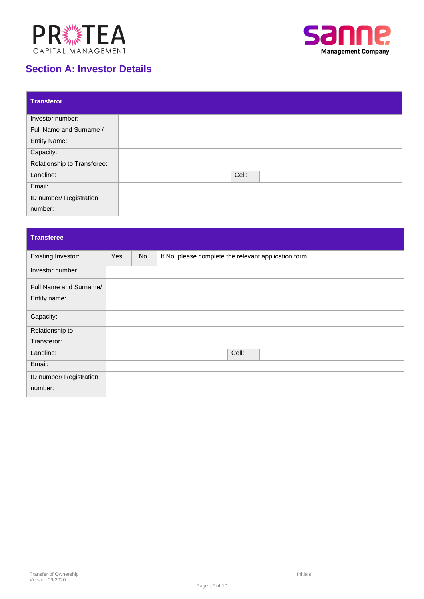



# **Section A: Investor Details**

| <b>Transferor</b>           |       |
|-----------------------------|-------|
| Investor number:            |       |
| Full Name and Surname /     |       |
| <b>Entity Name:</b>         |       |
| Capacity:                   |       |
| Relationship to Transferee: |       |
| Landline:                   | Cell: |
| Email:                      |       |
| ID number/ Registration     |       |
| number:                     |       |

| <b>Transferee</b>         |     |           |                                                       |
|---------------------------|-----|-----------|-------------------------------------------------------|
| <b>Existing Investor:</b> | Yes | <b>No</b> | If No, please complete the relevant application form. |
| Investor number:          |     |           |                                                       |
| Full Name and Surname/    |     |           |                                                       |
| Entity name:              |     |           |                                                       |
| Capacity:                 |     |           |                                                       |
| Relationship to           |     |           |                                                       |
| Transferor:               |     |           |                                                       |
| Landline:                 |     |           | Cell:                                                 |
| Email:                    |     |           |                                                       |
| ID number/ Registration   |     |           |                                                       |
| number:                   |     |           |                                                       |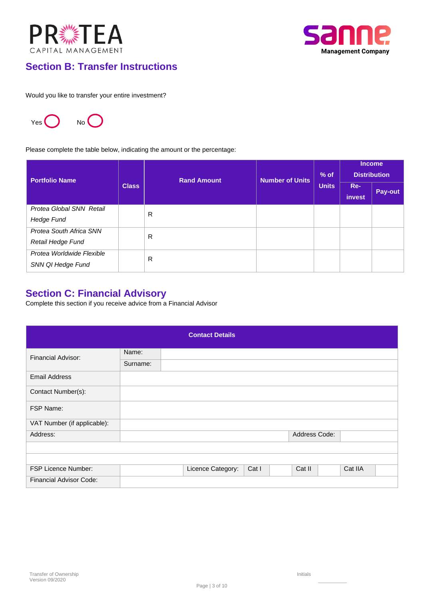



# **Section B: Transfer Instructions**

Would you like to transfer your entire investment?



Please complete the table below, indicating the amount or the percentage:

| <b>Portfolio Name</b>                          |              | <b>Rand Amount</b> | <b>Number of Units</b> | $%$ of       |               | <b>Income</b><br><b>Distribution</b> |
|------------------------------------------------|--------------|--------------------|------------------------|--------------|---------------|--------------------------------------|
|                                                | <b>Class</b> |                    |                        | <b>Units</b> | Re-<br>invest | Pay-out                              |
| Protea Global SNN Retail<br><b>Hedge Fund</b>  |              | R                  |                        |              |               |                                      |
| Protea South Africa SNN<br>Retail Hedge Fund   |              | R                  |                        |              |               |                                      |
| Protea Worldwide Flexible<br>SNN QI Hedge Fund |              | R                  |                        |              |               |                                      |

# **Section C: Financial Advisory**

Complete this section if you receive advice from a Financial Advisor

|                                |          | <b>Contact Details</b> |       |               |         |
|--------------------------------|----------|------------------------|-------|---------------|---------|
| <b>Financial Advisor:</b>      | Name:    |                        |       |               |         |
|                                | Surname: |                        |       |               |         |
| <b>Email Address</b>           |          |                        |       |               |         |
| Contact Number(s):             |          |                        |       |               |         |
| FSP Name:                      |          |                        |       |               |         |
| VAT Number (if applicable):    |          |                        |       |               |         |
| Address:                       |          |                        |       | Address Code: |         |
|                                |          |                        |       |               |         |
|                                |          |                        |       |               |         |
| <b>FSP Licence Number:</b>     |          | Licence Category:      | Cat I | Cat II        | Cat IIA |
| <b>Financial Advisor Code:</b> |          |                        |       |               |         |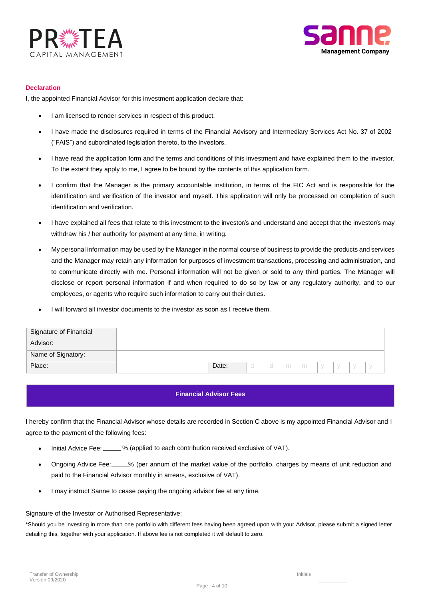



#### **Declaration**

I, the appointed Financial Advisor for this investment application declare that:

- I am licensed to render services in respect of this product.
- I have made the disclosures required in terms of the Financial Advisory and Intermediary Services Act No. 37 of 2002 ("FAIS") and subordinated legislation thereto, to the investors.
- I have read the application form and the terms and conditions of this investment and have explained them to the investor. To the extent they apply to me, I agree to be bound by the contents of this application form.
- I confirm that the Manager is the primary accountable institution, in terms of the FIC Act and is responsible for the identification and verification of the investor and myself. This application will only be processed on completion of such identification and verification.
- I have explained all fees that relate to this investment to the investor/s and understand and accept that the investor/s may withdraw his / her authority for payment at any time, in writing.
- My personal information may be used by the Manager in the normal course of business to provide the products and services and the Manager may retain any information for purposes of investment transactions, processing and administration, and to communicate directly with me. Personal information will not be given or sold to any third parties. The Manager will disclose or report personal information if and when required to do so by law or any regulatory authority, and to our employees, or agents who require such information to carry out their duties.
- I will forward all investor documents to the investor as soon as I receive them.

| Signature of Financial |       |  |   |   |  |        |  |
|------------------------|-------|--|---|---|--|--------|--|
| Advisor:               |       |  |   |   |  |        |  |
| Name of Signatory:     |       |  |   |   |  |        |  |
| Place:                 | Date: |  | m | m |  | $\sim$ |  |

## **Financial Advisor Fees**

I hereby confirm that the Financial Advisor whose details are recorded in Section C above is my appointed Financial Advisor and I agree to the payment of the following fees:

- Initial Advice Fee: 6 % (applied to each contribution received exclusive of VAT).
- Ongoing Advice Fee: 6. 4. (per annum of the market value of the portfolio, charges by means of unit reduction and paid to the Financial Advisor monthly in arrears, exclusive of VAT).
- I may instruct Sanne to cease paying the ongoing advisor fee at any time.

#### Signature of the Investor or Authorised Representative:

\*Should you be investing in more than one portfolio with different fees having been agreed upon with your Advisor, please submit a signed letter detailing this, together with your application. If above fee is not completed it will default to zero.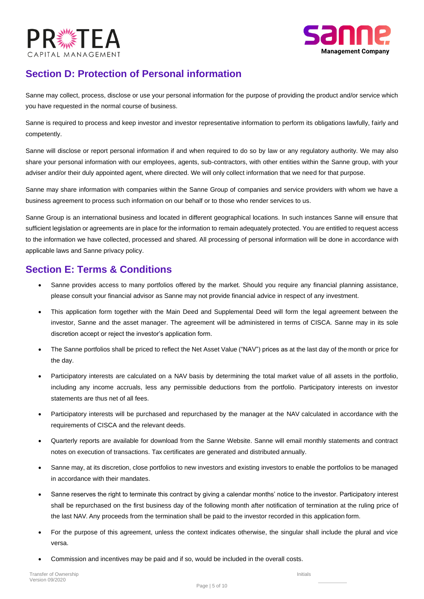



# **Section D: Protection of Personal information**

Sanne may collect, process, disclose or use your personal information for the purpose of providing the product and/or service which you have requested in the normal course of business.

Sanne is required to process and keep investor and investor representative information to perform its obligations lawfully, fairly and competently.

Sanne will disclose or report personal information if and when required to do so by law or any regulatory authority. We may also share your personal information with our employees, agents, sub-contractors, with other entities within the Sanne group, with your adviser and/or their duly appointed agent, where directed. We will only collect information that we need for that purpose.

Sanne may share information with companies within the Sanne Group of companies and service providers with whom we have a business agreement to process such information on our behalf or to those who render services to us.

Sanne Group is an international business and located in different geographical locations. In such instances Sanne will ensure that sufficient legislation or agreements are in place for the information to remain adequately protected. You are entitled to request access to the information we have collected, processed and shared. All processing of personal information will be done in accordance with applicable laws and Sanne privacy policy.

# **Section E: Terms & Conditions**

- Sanne provides access to many portfolios offered by the market. Should you require any financial planning assistance, please consult your financial advisor as Sanne may not provide financial advice in respect of any investment.
- This application form together with the Main Deed and Supplemental Deed will form the legal agreement between the investor, Sanne and the asset manager. The agreement will be administered in terms of CISCA. Sanne may in its sole discretion accept or reject the investor's application form.
- The Sanne portfolios shall be priced to reflect the Net Asset Value ("NAV") prices as at the last day of the month or price for the day.
- Participatory interests are calculated on a NAV basis by determining the total market value of all assets in the portfolio, including any income accruals, less any permissible deductions from the portfolio. Participatory interests on investor statements are thus net of all fees.
- Participatory interests will be purchased and repurchased by the manager at the NAV calculated in accordance with the requirements of CISCA and the relevant deeds.
- Quarterly reports are available for download from the Sanne Website. Sanne will email monthly statements and contract notes on execution of transactions. Tax certificates are generated and distributed annually.
- Sanne may, at its discretion, close portfolios to new investors and existing investors to enable the portfolios to be managed in accordance with their mandates.
- Sanne reserves the right to terminate this contract by giving a calendar months' notice to the investor. Participatory interest shall be repurchased on the first business day of the following month after notification of termination at the ruling price of the last NAV. Any proceeds from the termination shall be paid to the investor recorded in this application form.
- For the purpose of this agreement, unless the context indicates otherwise, the singular shall include the plural and vice versa.
- Commission and incentives may be paid and if so, would be included in the overall costs.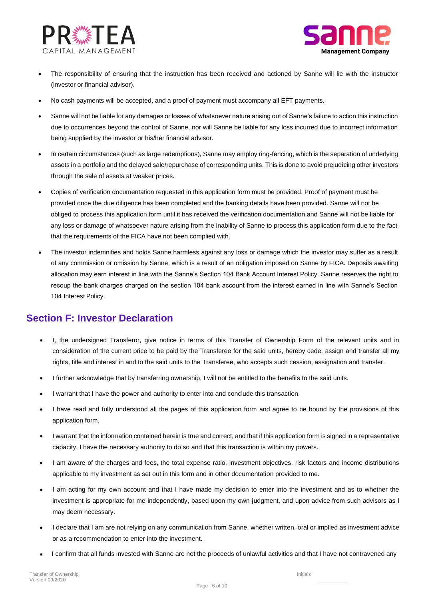



- (investor or financial advisor). The responsibility of ensuring that the instruction has been received and actioned by Sanne will lie with the instructor
- No cash payments will be accepted, and a proof of payment must accompany all EFT payments.
- being supplied by the investor or his/her financial advisor. due to occurrences beyond the control of Sanne, nor will Sanne be liable for any loss incurred due to incorrect information • Sanne will not be liable for any damages or losses of whatsoever nature arising out of Sanne's failure to action this instruction
- through the sale of assets at weaker prices. assets in a portfolio and the delayed sale/repurchase of corresponding units. This is done to avoid prejudicing other investors • In certain circumstances (such as large redemptions), Sanne may employ ring-fencing, which is the separation of underlying
- that the requirements of the FICA have not been complied with. any loss or damage of whatsoever nature arising from the inability of Sanne to process this application form due to the fact obliged to process this application form until it has received the verification documentation and Sanne will not be liable for provided once the due diligence has been completed and the banking details have been provided. Sanne will not be • Copies of verification documentation requested in this application form must be provided. Proof of payment must be
- 104 Interest Policy. recoup the bank charges charged on the section 104 bank account from the interest earned in line with Sanne's Section allocation may earn interest in line with the Sanne's Section 104 Bank Account Interest Policy. Sanne reserves the right to of any commission or omission by Sanne, which is a result of an obligation imposed on Sanne by FICA. Deposits awaiting The investor indemnifies and holds Sanne harmless against any loss or damage which the investor may suffer as a result

# **Section F: Investor Declaration**

- rights, title and interest in and to the said units to the Transferee, who accepts such cession, assignation and transfer. consideration of the current price to be paid by the Transferee for the said units, hereby cede, assign and transfer all my • I, the undersigned Transferor, give notice in terms of this Transfer of Ownership Form of the relevant units and in
- I further acknowledge that by transferring ownership, I will not be entitled to the benefits to the said units.
- I warrant that I have the power and authority to enter into and conclude this transaction.
- application form. I have read and fully understood all the pages of this application form and agree to be bound by the provisions of this
- capacity, I have the necessary authority to do so and that this transaction is within my powers. • I warrant that the information contained herein is true and correct, and that if this application form is signed in a representative
- applicable to my investment as set out in this form and in other documentation provided to me. • I am aware of the charges and fees, the total expense ratio, investment objectives, risk factors and income distributions
- may deem necessary. investment is appropriate for me independently, based upon my own judgment, and upon advice from such advisors as I I am acting for my own account and that I have made my decision to enter into the investment and as to whether the
- or as a recommendation to enter into the investment. • I declare that I am are not relying on any communication from Sanne, whether written, oral or implied as investment advice
- I confirm that all funds invested with Sanne are not the proceeds of unlawful activities and that I have not contravened any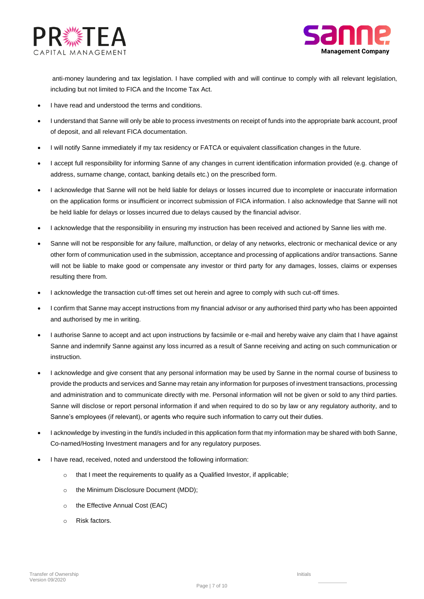



anti-money laundering and tax legislation. I have complied with and will continue to comply with all relevant legislation, including but not limited to FICA and the Income Tax Act.

- I have read and understood the terms and conditions.
- I understand that Sanne will only be able to process investments on receipt of funds into the appropriate bank account, proof of deposit, and all relevant FICA documentation.
- I will notify Sanne immediately if my tax residency or FATCA or equivalent classification changes in the future.
- I accept full responsibility for informing Sanne of any changes in current identification information provided (e.g. change of address, surname change, contact, banking details etc.) on the prescribed form.
- I acknowledge that Sanne will not be held liable for delays or losses incurred due to incomplete or inaccurate information on the application forms or insufficient or incorrect submission of FICA information. I also acknowledge that Sanne will not be held liable for delays or losses incurred due to delays caused by the financial advisor.
- I acknowledge that the responsibility in ensuring my instruction has been received and actioned by Sanne lies with me.
- Sanne will not be responsible for any failure, malfunction, or delay of any networks, electronic or mechanical device or any other form of communication used in the submission, acceptance and processing of applications and/or transactions. Sanne will not be liable to make good or compensate any investor or third party for any damages, losses, claims or expenses resulting there from.
- I acknowledge the transaction cut-off times set out herein and agree to comply with such cut-off times.
- I confirm that Sanne may accept instructions from my financial advisor or any authorised third party who has been appointed and authorised by me in writing.
- I authorise Sanne to accept and act upon instructions by facsimile or e-mail and hereby waive any claim that I have against Sanne and indemnify Sanne against any loss incurred as a result of Sanne receiving and acting on such communication or instruction.
- I acknowledge and give consent that any personal information may be used by Sanne in the normal course of business to provide the products and services and Sanne may retain any information for purposes of investment transactions, processing and administration and to communicate directly with me. Personal information will not be given or sold to any third parties. Sanne will disclose or report personal information if and when required to do so by law or any regulatory authority, and to Sanne's employees (if relevant), or agents who require such information to carry out their duties.
- I acknowledge by investing in the fund/s included in this application form that my information may be shared with both Sanne, Co-named/Hosting Investment managers and for any regulatory purposes.
- I have read, received, noted and understood the following information:
	- o that I meet the requirements to qualify as a Qualified Investor, if applicable;
	- o the Minimum Disclosure Document (MDD);
	- o the Effective Annual Cost (EAC)
	- o Risk factors.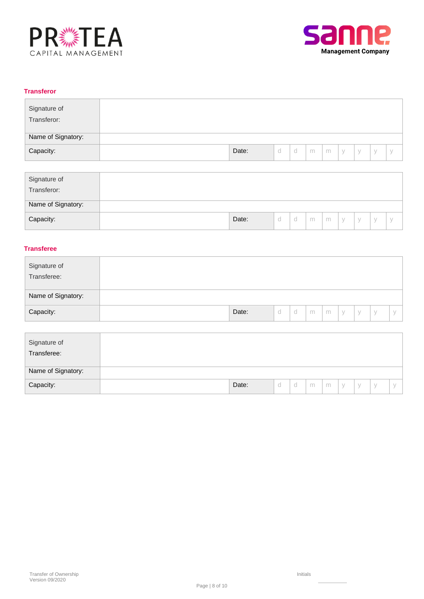



# **Transferor**

| Signature of<br>Transferor: |       |   |             |   |   |        |        |  |
|-----------------------------|-------|---|-------------|---|---|--------|--------|--|
| Name of Signatory:          |       |   |             |   |   |        |        |  |
| Capacity:                   | Date: | u | $\sim$<br>u | m | m | $\vee$ | $\vee$ |  |

| Signature of<br>Transferor: |       |   |   |   |   |        |        |  |
|-----------------------------|-------|---|---|---|---|--------|--------|--|
| Name of Signatory:          |       |   |   |   |   |        |        |  |
| Capacity:                   | Date: | ◡ | u | m | m | $\vee$ | $\vee$ |  |

# **Transferee**

| Signature of<br>Transferee: |       |   |   |   |   |             |        |  |
|-----------------------------|-------|---|---|---|---|-------------|--------|--|
| Name of Signatory:          |       |   |   |   |   |             |        |  |
| Capacity:                   | Date: | u | u | m | m | $\setminus$ | $\vee$ |  |

| Signature of<br>Transferee: |  |       |   |   |   |   |        |        |           |  |
|-----------------------------|--|-------|---|---|---|---|--------|--------|-----------|--|
| Name of Signatory:          |  |       |   |   |   |   |        |        |           |  |
| Capacity:                   |  | Date: | d | ◡ | m | m | $\vee$ | $\vee$ | $\sqrt{}$ |  |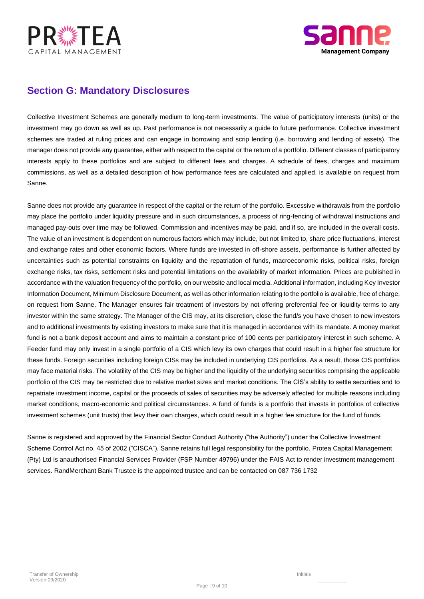



# **Section G: Mandatory Disclosures**

Collective Investment Schemes are generally medium to long-term investments. The value of participatory interests (units) or the investment may go down as well as up. Past performance is not necessarily a guide to future performance. Collective investment schemes are traded at ruling prices and can engage in borrowing and scrip lending (i.e. borrowing and lending of assets). The manager does not provide any guarantee, either with respect to the capital or the return of a portfolio. Different classes of participatory interests apply to these portfolios and are subject to different fees and charges. A schedule of fees, charges and maximum commissions, as well as a detailed description of how performance fees are calculated and applied, is available on request from Sanne.

Sanne does not provide any guarantee in respect of the capital or the return of the portfolio. Excessive withdrawals from the portfolio may place the portfolio under liquidity pressure and in such circumstances, a process of ring-fencing of withdrawal instructions and managed pay-outs over time may be followed. Commission and incentives may be paid, and if so, are included in the overall costs. The value of an investment is dependent on numerous factors which may include, but not limited to, share price fluctuations, interest and exchange rates and other economic factors. Where funds are invested in off-shore assets, performance is further affected by uncertainties such as potential constraints on liquidity and the repatriation of funds, macroeconomic risks, political risks, foreign exchange risks, tax risks, settlement risks and potential limitations on the availability of market information. Prices are published in accordance with the valuation frequency of the portfolio, on our website and local media. Additional information, including Key Investor Information Document, Minimum Disclosure Document, as well as other information relating to the portfolio is available, free of charge, on request from Sanne. The Manager ensures fair treatment of investors by not offering preferential fee or liquidity terms to any investor within the same strategy. The Manager of the CIS may, at its discretion, close the fund/s you have chosen to new investors and to additional investments by existing investors to make sure that it is managed in accordance with its mandate. A money market fund is not a bank deposit account and aims to maintain a constant price of 100 cents per participatory interest in such scheme. A Feeder fund may only invest in a single portfolio of a CIS which levy its own charges that could result in a higher fee structure for these funds. Foreign securities including foreign CISs may be included in underlying CIS portfolios. As a result, those CIS portfolios may face material risks. The volatility of the CIS may be higher and the liquidity of the underlying securities comprising the applicable portfolio of the CIS may be restricted due to relative market sizes and market conditions. The CIS's ability to settle securities and to repatriate investment income, capital or the proceeds of sales of securities may be adversely affected for multiple reasons including market conditions, macro-economic and political circumstances. A fund of funds is a portfolio that invests in portfolios of collective investment schemes (unit trusts) that levy their own charges, which could result in a higher fee structure for the fund of funds.

services. RandMerchant Bank Trustee is the appointed trustee and can be contacted on 087 736 1732 (Pty) Ltd is anauthorised Financial Services Provider (FSP Number 49796) under the FAIS Act to render investment management Scheme Control Act no. 45 of 2002 ("CISCA"). Sanne retains full legal responsibility for the portfolio. Protea Capital Management Sanne is registered and approved by the Financial Sector Conduct Authority ("the Authority") under the Collective Investment